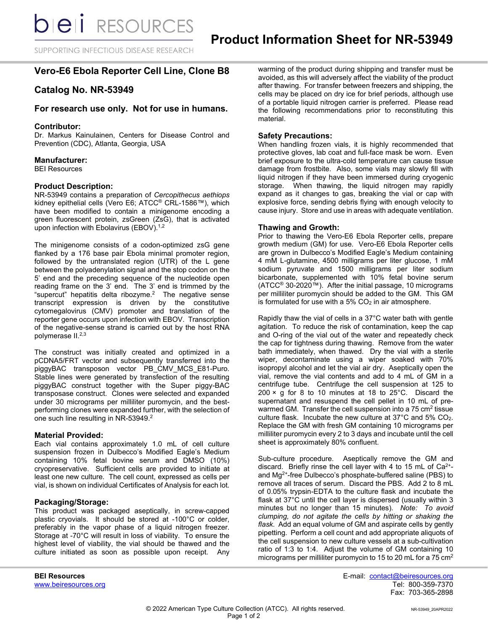SUPPORTING INFECTIOUS DISEASE RESEARCH

# **Vero-E6 Ebola Reporter Cell Line, Clone B8**

# **Catalog No. NR-53949**

## **For research use only. Not for use in humans.**

## **Contributor:**

Dr. Markus Kainulainen, Centers for Disease Control and Prevention (CDC), Atlanta, Georgia, USA

#### **Manufacturer:**

BEI Resources

### **Product Description:**

NR-53949 contains a preparation of *Cercopithecus aethiops*  kidney epithelial cells (Vero E6; ATCC® CRL-1586™), which have been modified to contain a minigenome encoding a green fluorescent protein, zsGreen (ZsG), that is activated upon infection with Ebolavirus (EBOV). $1,2$ 

The minigenome consists of a codon-optimized zsG gene flanked by a 176 base pair Ebola minimal promoter region, followed by the untranslated region (UTR) of the L gene between the polyadenylation signal and the stop codon on the 5' end and the preceding sequence of the nucleotide open reading frame on the 3' end. The 3' end is trimmed by the "supercut" hepatitis delta ribozyme.<sup>2</sup> The negative sense transcript expression is driven by the constitutive cytomegalovirus (CMV) promoter and translation of the reporter gene occurs upon infection with EBOV. Transcription of the negative-sense strand is carried out by the host RNA polymerase II.<sup>2,3</sup>

The construct was initially created and optimized in a pCDNA5/FRT vector and subsequently transferred into the piggyBAC transposon vector PB\_CMV\_MCS\_E81-Puro. Stable lines were generated by transfection of the resulting piggyBAC construct together with the Super piggy-BAC transposase construct. Clones were selected and expanded under 30 micrograms per milliliter puromycin, and the bestperforming clones were expanded further, with the selection of one such line resulting in NR-53949.<sup>2</sup>

#### **Material Provided:**

Each vial contains approximately 1.0 mL of cell culture suspension frozen in Dulbecco's Modified Eagle's Medium containing 10% fetal bovine serum and DMSO (10%) cryopreservative. Sufficient cells are provided to initiate at least one new culture. The cell count, expressed as cells per vial, is shown on individual Certificates of Analysis for each lot.

#### **Packaging/Storage:**

This product was packaged aseptically, in screw-capped plastic cryovials. It should be stored at -100°C or colder, preferably in the vapor phase of a liquid nitrogen freezer. Storage at -70°C will result in loss of viability. To ensure the highest level of viability, the vial should be thawed and the culture initiated as soon as possible upon receipt. Any warming of the product during shipping and transfer must be avoided, as this will adversely affect the viability of the product after thawing. For transfer between freezers and shipping, the cells may be placed on dry ice for brief periods, although use of a portable liquid nitrogen carrier is preferred. Please read the following recommendations prior to reconstituting this material.

#### **Safety Precautions:**

When handling frozen vials, it is highly recommended that protective gloves, lab coat and full-face mask be worn. Even brief exposure to the ultra-cold temperature can cause tissue damage from frostbite. Also, some vials may slowly fill with liquid nitrogen if they have been immersed during cryogenic storage. When thawing, the liquid nitrogen may rapidly expand as it changes to gas, breaking the vial or cap with explosive force, sending debris flying with enough velocity to cause injury. Store and use in areas with adequate ventilation.

### **Thawing and Growth:**

Prior to thawing the Vero-E6 Ebola Reporter cells, prepare growth medium (GM) for use. Vero-E6 Ebola Reporter cells are grown in Dulbecco's Modified Eagle's Medium containing 4 mM L-glutamine, 4500 milligrams per liter glucose, 1 mM sodium pyruvate and 1500 milligrams per liter sodium bicarbonate, supplemented with 10% fetal bovine serum (ATCC® 30-2020™). After the initial passage, 10 micrograms per milliliter puromycin should be added to the GM. This GM is formulated for use with a  $5\%$  CO<sub>2</sub> in air atmosphere.

Rapidly thaw the vial of cells in a 37°C water bath with gentle agitation. To reduce the risk of contamination, keep the cap and O-ring of the vial out of the water and repeatedly check the cap for tightness during thawing. Remove from the water bath immediately, when thawed. Dry the vial with a sterile wiper, decontaminate using a wiper soaked with 70% isopropyl alcohol and let the vial air dry. Aseptically open the vial, remove the vial contents and add to 4 mL of GM in a centrifuge tube. Centrifuge the cell suspension at 125 to  $200 \times g$  for 8 to 10 minutes at 18 to 25°C. Discard the supernatant and resuspend the cell pellet in 10 mL of prewarmed GM. Transfer the cell suspension into a 75 cm<sup>2</sup> tissue culture flask. Incubate the new culture at 37°C and 5% CO2. Replace the GM with fresh GM containing 10 micrograms per milliliter puromycin every 2 to 3 days and incubate until the cell sheet is approximately 80% confluent.

Sub-culture procedure. Aseptically remove the GM and discard. Briefly rinse the cell layer with 4 to 15 mL of  $Ca<sup>2+</sup>$ and Mg2+-free Dulbecco's phosphate-buffered saline (PBS) to remove all traces of serum. Discard the PBS. Add 2 to 8 mL of 0.05% trypsin-EDTA to the culture flask and incubate the flask at 37°C until the cell layer is dispersed (usually within 3 minutes but no longer than 15 minutes). *Note: To avoid clumping, do not agitate the cells by hitting or shaking the flask.* Add an equal volume of GM and aspirate cells by gently pipetting. Perform a cell count and add appropriate aliquots of the cell suspension to new culture vessels at a sub-cultivation ratio of 1:3 to 1:4. Adjust the volume of GM containing 10 micrograms per milliliter puromycin to 15 to 20 mL for a  $75 \text{ cm}^2$ 

**BEI Resources** E-mail: contact@beiresources.org Fax: 703-365-2898